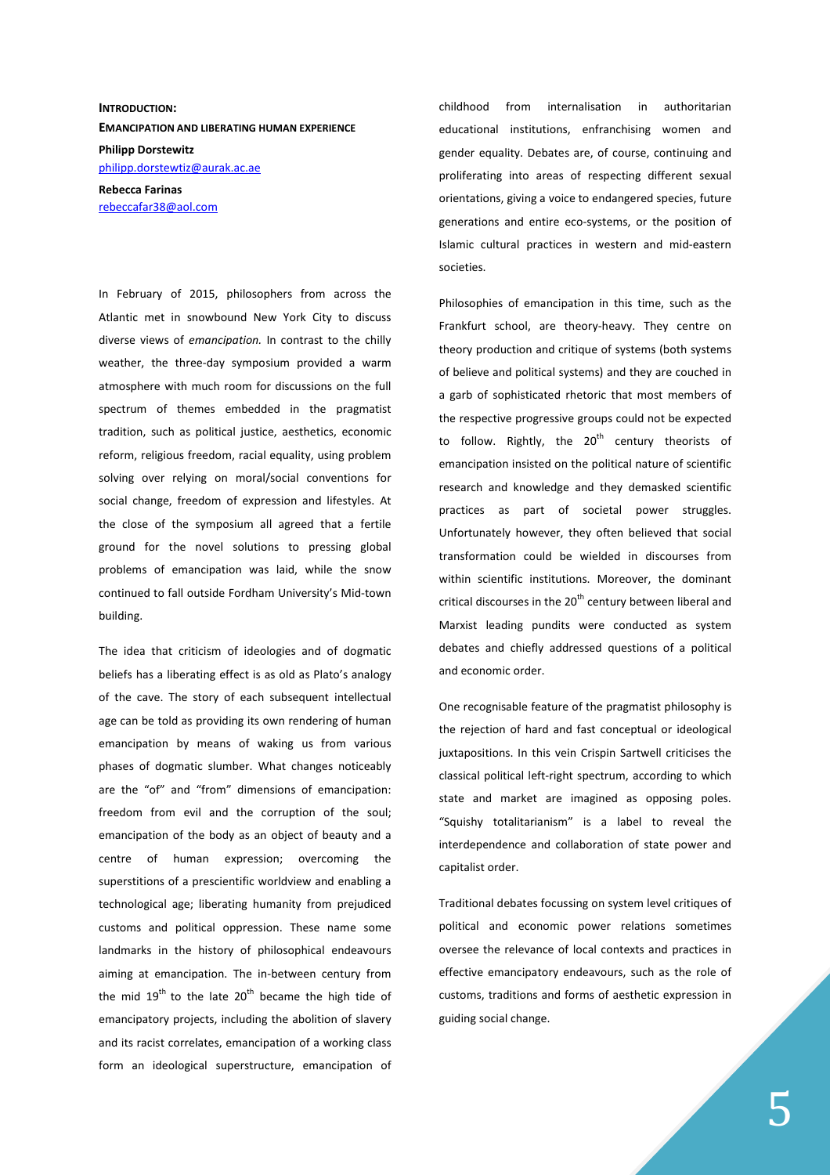## **INTRODUCTION: EMANCIPATION AND LIBERATING HUMAN EXPERIENCE Philipp Dorstewitz**  philipp.dorstewtiz@aurak.ac.ae

**Rebecca Farinas**  rebeccafar38@aol.com

In February of 2015, philosophers from across the Atlantic met in snowbound New York City to discuss diverse views of *emancipation.* In contrast to the chilly weather, the three-day symposium provided a warm atmosphere with much room for discussions on the full spectrum of themes embedded in the pragmatist tradition, such as political justice, aesthetics, economic reform, religious freedom, racial equality, using problem solving over relying on moral/social conventions for social change, freedom of expression and lifestyles. At the close of the symposium all agreed that a fertile ground for the novel solutions to pressing global problems of emancipation was laid, while the snow continued to fall outside Fordham University's Mid-town building.

The idea that criticism of ideologies and of dogmatic beliefs has a liberating effect is as old as Plato's analogy of the cave. The story of each subsequent intellectual age can be told as providing its own rendering of human emancipation by means of waking us from various phases of dogmatic slumber. What changes noticeably are the "of" and "from" dimensions of emancipation: freedom from evil and the corruption of the soul; emancipation of the body as an object of beauty and a centre of human expression; overcoming the superstitions of a prescientific worldview and enabling a technological age; liberating humanity from prejudiced customs and political oppression. These name some landmarks in the history of philosophical endeavours aiming at emancipation. The in-between century from the mid  $19<sup>th</sup>$  to the late  $20<sup>th</sup>$  became the high tide of emancipatory projects, including the abolition of slavery and its racist correlates, emancipation of a working class form an ideological superstructure, emancipation of

childhood from internalisation in authoritarian educational institutions, enfranchising women and gender equality. Debates are, of course, continuing and proliferating into areas of respecting different sexual orientations, giving a voice to endangered species, future generations and entire eco-systems, or the position of Islamic cultural practices in western and mid-eastern societies.

Philosophies of emancipation in this time, such as the Frankfurt school, are theory-heavy. They centre on theory production and critique of systems (both systems of believe and political systems) and they are couched in a garb of sophisticated rhetoric that most members of the respective progressive groups could not be expected to follow. Rightly, the  $20<sup>th</sup>$  century theorists of emancipation insisted on the political nature of scientific research and knowledge and they demasked scientific practices as part of societal power struggles. Unfortunately however, they often believed that social transformation could be wielded in discourses from within scientific institutions. Moreover, the dominant critical discourses in the 20<sup>th</sup> century between liberal and Marxist leading pundits were conducted as system debates and chiefly addressed questions of a political and economic order.

One recognisable feature of the pragmatist philosophy is the rejection of hard and fast conceptual or ideological juxtapositions. In this vein Crispin Sartwell criticises the classical political left-right spectrum, according to which state and market are imagined as opposing poles. "Squishy totalitarianism" is a label to reveal the interdependence and collaboration of state power and capitalist order.

Traditional debates focussing on system level critiques of political and economic power relations sometimes oversee the relevance of local contexts and practices in effective emancipatory endeavours, such as the role of customs, traditions and forms of aesthetic expression in guiding social change.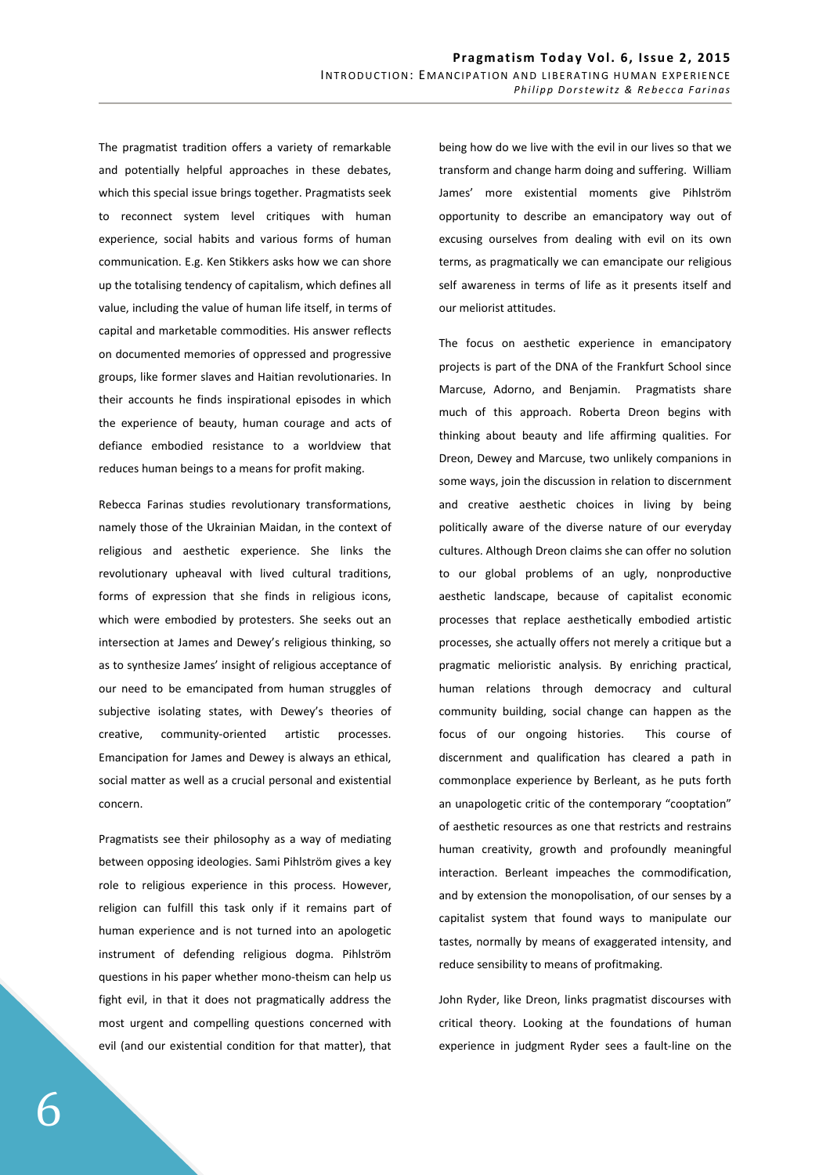The pragmatist tradition offers a variety of remarkable and potentially helpful approaches in these debates, which this special issue brings together. Pragmatists seek to reconnect system level critiques with human experience, social habits and various forms of human communication. E.g. Ken Stikkers asks how we can shore up the totalising tendency of capitalism, which defines all value, including the value of human life itself, in terms of capital and marketable commodities. His answer reflects on documented memories of oppressed and progressive groups, like former slaves and Haitian revolutionaries. In their accounts he finds inspirational episodes in which the experience of beauty, human courage and acts of defiance embodied resistance to a worldview that reduces human beings to a means for profit making.

Rebecca Farinas studies revolutionary transformations, namely those of the Ukrainian Maidan, in the context of religious and aesthetic experience. She links the revolutionary upheaval with lived cultural traditions, forms of expression that she finds in religious icons, which were embodied by protesters. She seeks out an intersection at James and Dewey's religious thinking, so as to synthesize James' insight of religious acceptance of our need to be emancipated from human struggles of subjective isolating states, with Dewey's theories of creative, community-oriented artistic processes. Emancipation for James and Dewey is always an ethical, social matter as well as a crucial personal and existential concern.

Pragmatists see their philosophy as a way of mediating between opposing ideologies. Sami Pihlström gives a key role to religious experience in this process. However, religion can fulfill this task only if it remains part of human experience and is not turned into an apologetic instrument of defending religious dogma. Pihlström questions in his paper whether mono-theism can help us fight evil, in that it does not pragmatically address the most urgent and compelling questions concerned with evil (and our existential condition for that matter), that

being how do we live with the evil in our lives so that we transform and change harm doing and suffering. William James' more existential moments give Pihlström opportunity to describe an emancipatory way out of excusing ourselves from dealing with evil on its own terms, as pragmatically we can emancipate our religious self awareness in terms of life as it presents itself and our meliorist attitudes.

The focus on aesthetic experience in emancipatory projects is part of the DNA of the Frankfurt School since Marcuse, Adorno, and Benjamin. Pragmatists share much of this approach. Roberta Dreon begins with thinking about beauty and life affirming qualities. For Dreon, Dewey and Marcuse, two unlikely companions in some ways, join the discussion in relation to discernment and creative aesthetic choices in living by being politically aware of the diverse nature of our everyday cultures. Although Dreon claims she can offer no solution to our global problems of an ugly, nonproductive aesthetic landscape, because of capitalist economic processes that replace aesthetically embodied artistic processes, she actually offers not merely a critique but a pragmatic melioristic analysis. By enriching practical, human relations through democracy and cultural community building, social change can happen as the focus of our ongoing histories. This course of discernment and qualification has cleared a path in commonplace experience by Berleant, as he puts forth an unapologetic critic of the contemporary "cooptation" of aesthetic resources as one that restricts and restrains human creativity, growth and profoundly meaningful interaction. Berleant impeaches the commodification, and by extension the monopolisation, of our senses by a capitalist system that found ways to manipulate our tastes, normally by means of exaggerated intensity, and reduce sensibility to means of profitmaking.

John Ryder, like Dreon, links pragmatist discourses with critical theory. Looking at the foundations of human experience in judgment Ryder sees a fault-line on the

6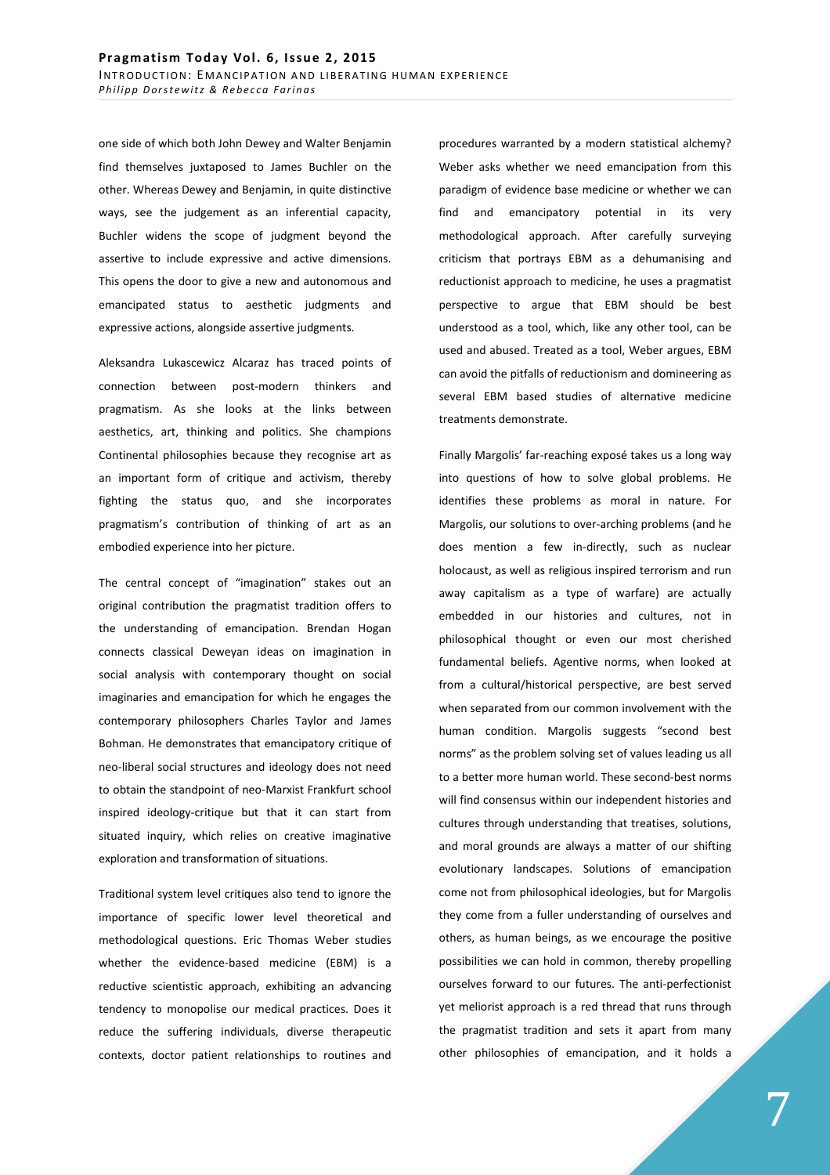one side of which both John Dewey and Walter Benjamin find themselves juxtaposed to James Buchler on the other. Whereas Dewey and Benjamin, in quite distinctive ways, see the judgement as an inferential capacity, Buchler widens the scope of judgment beyond the assertive to include expressive and active dimensions. This opens the door to give a new and autonomous and emancipated status to aesthetic judgments and expressive actions, alongside assertive judgments.

Aleksandra Lukascewicz Alcaraz has traced points of connection between post-modern thinkers and pragmatism. As she looks at the links between aesthetics, art, thinking and politics. She champions Continental philosophies because they recognise art as an important form of critique and activism, thereby fighting the status quo, and she incorporates pragmatism's contribution of thinking of art as an embodied experience into her picture.

The central concept of "imagination" stakes out an original contribution the pragmatist tradition offers to the understanding of emancipation. Brendan Hogan connects classical Deweyan ideas on imagination in social analysis with contemporary thought on social imaginaries and emancipation for which he engages the contemporary philosophers Charles Taylor and James Bohman. He demonstrates that emancipatory critique of neo-liberal social structures and ideology does not need to obtain the standpoint of neo-Marxist Frankfurt school inspired ideology-critique but that it can start from situated inquiry, which relies on creative imaginative exploration and transformation of situations.

Traditional system level critiques also tend to ignore the importance of specific lower level theoretical and methodological questions. Eric Thomas Weber studies whether the evidence-based medicine (EBM) is a reductive scientistic approach, exhibiting an advancing tendency to monopolise our medical practices. Does it reduce the suffering individuals, diverse therapeutic contexts, doctor patient relationships to routines and

procedures warranted by a modern statistical alchemy? Weber asks whether we need emancipation from this paradigm of evidence base medicine or whether we can find and emancipatory potential in its very methodological approach. After carefully surveying criticism that portrays EBM as a dehumanising and reductionist approach to medicine, he uses a pragmatist perspective to argue that EBM should be best understood as a tool, which, like any other tool, can be used and abused. Treated as a tool, Weber argues, EBM can avoid the pitfalls of reductionism and domineering as several EBM based studies of alternative medicine treatments demonstrate.

Finally Margolis' far-reaching exposé takes us a long way into questions of how to solve global problems. He identifies these problems as moral in nature. For Margolis, our solutions to over-arching problems (and he does mention a few in-directly, such as nuclear holocaust, as well as religious inspired terrorism and run away capitalism as a type of warfare) are actually embedded in our histories and cultures, not in philosophical thought or even our most cherished fundamental beliefs. Agentive norms, when looked at from a cultural/historical perspective, are best served when separated from our common involvement with the human condition. Margolis suggests "second best norms" as the problem solving set of values leading us all to a better more human world. These second-best norms will find consensus within our independent histories and cultures through understanding that treatises, solutions, and moral grounds are always a matter of our shifting evolutionary landscapes. Solutions of emancipation come not from philosophical ideologies, but for Margolis they come from a fuller understanding of ourselves and others, as human beings, as we encourage the positive possibilities we can hold in common, thereby propelling ourselves forward to our futures. The anti-perfectionist yet meliorist approach is a red thread that runs through the pragmatist tradition and sets it apart from many other philosophies of emancipation, and it holds a